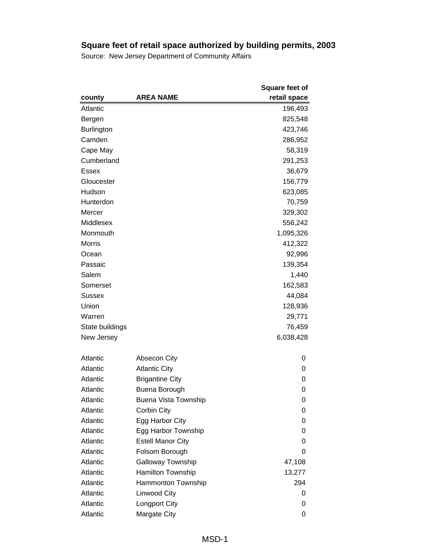|                 |                             | <b>Square feet of</b> |
|-----------------|-----------------------------|-----------------------|
| county          | <b>AREA NAME</b>            | retail space          |
| Atlantic        |                             | 196,493               |
| Bergen          |                             | 825,548               |
| Burlington      |                             | 423,746               |
| Camden          |                             | 286,952               |
| Cape May        |                             | 58,319                |
| Cumberland      |                             | 291,253               |
| Essex           |                             | 36,679                |
| Gloucester      |                             | 156,779               |
| Hudson          |                             | 623,085               |
| Hunterdon       |                             | 70,759                |
| Mercer          |                             | 329,302               |
| Middlesex       |                             | 556,242               |
| Monmouth        |                             | 1,095,326             |
| <b>Morris</b>   |                             | 412,322               |
| Ocean           |                             | 92,996                |
| Passaic         |                             | 139,354               |
| Salem           |                             | 1,440                 |
| Somerset        |                             | 162,583               |
| Sussex          |                             | 44,084                |
| Union           |                             | 128,936               |
| Warren          |                             | 29,771                |
| State buildings |                             | 76,459                |
| New Jersey      |                             | 6,038,428             |
| Atlantic        | Absecon City                | 0                     |
| Atlantic        | <b>Atlantic City</b>        | 0                     |
| Atlantic        | <b>Brigantine City</b>      | 0                     |
| Atlantic        | Buena Borough               | 0                     |
| Atlantic        | <b>Buena Vista Township</b> | 0                     |
| Atlantic        | Corbin City                 | 0                     |
| Atlantic        | Egg Harbor City             | 0                     |
| Atlantic        | Egg Harbor Township         | 0                     |
| Atlantic        | <b>Estell Manor City</b>    | 0                     |
| Atlantic        | Folsom Borough              | 0                     |
| Atlantic        | Galloway Township           | 47,108                |
| Atlantic        | Hamilton Township           | 13,277                |
| Atlantic        | Hammonton Township          | 294                   |
| Atlantic        | Linwood City                | 0                     |
| Atlantic        | Longport City               | 0                     |
| Atlantic        | Margate City                | 0                     |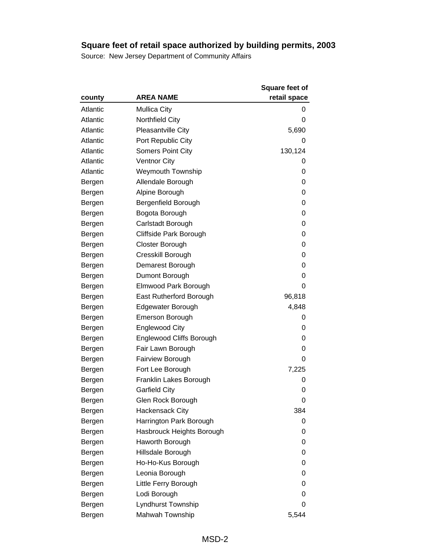|          |                                 | <b>Square feet of</b> |
|----------|---------------------------------|-----------------------|
| county   | <b>AREA NAME</b>                | retail space          |
| Atlantic | <b>Mullica City</b>             | 0                     |
| Atlantic | Northfield City                 | 0                     |
| Atlantic | <b>Pleasantville City</b>       | 5,690                 |
| Atlantic | Port Republic City              | O                     |
| Atlantic | <b>Somers Point City</b>        | 130,124               |
| Atlantic | <b>Ventnor City</b>             | 0                     |
| Atlantic | <b>Weymouth Township</b>        | 0                     |
| Bergen   | Allendale Borough               | 0                     |
| Bergen   | Alpine Borough                  | 0                     |
| Bergen   | Bergenfield Borough             | 0                     |
| Bergen   | Bogota Borough                  | 0                     |
| Bergen   | Carlstadt Borough               | 0                     |
| Bergen   | Cliffside Park Borough          | 0                     |
| Bergen   | Closter Borough                 | 0                     |
| Bergen   | Cresskill Borough               | 0                     |
| Bergen   | Demarest Borough                | 0                     |
| Bergen   | Dumont Borough                  | 0                     |
| Bergen   | Elmwood Park Borough            | 0                     |
| Bergen   | East Rutherford Borough         | 96,818                |
| Bergen   | Edgewater Borough               | 4,848                 |
| Bergen   | <b>Emerson Borough</b>          | 0                     |
| Bergen   | <b>Englewood City</b>           | 0                     |
| Bergen   | <b>Englewood Cliffs Borough</b> | 0                     |
| Bergen   | Fair Lawn Borough               | 0                     |
| Bergen   | <b>Fairview Borough</b>         | 0                     |
| Bergen   | Fort Lee Borough                | 7,225                 |
| Bergen   | Franklin Lakes Borough          | 0                     |
| Bergen   | <b>Garfield City</b>            | 0                     |
| Bergen   | Glen Rock Borough               | 0                     |
| Bergen   | <b>Hackensack City</b>          | 384                   |
| Bergen   | Harrington Park Borough         | 0                     |
| Bergen   | Hasbrouck Heights Borough       | 0                     |
| Bergen   | Haworth Borough                 | 0                     |
| Bergen   | Hillsdale Borough               | 0                     |
| Bergen   | Ho-Ho-Kus Borough               | 0                     |
| Bergen   | Leonia Borough                  | 0                     |
| Bergen   | Little Ferry Borough            | 0                     |
| Bergen   | Lodi Borough                    | 0                     |
| Bergen   | Lyndhurst Township              | 0                     |
| Bergen   | Mahwah Township                 | 5,544                 |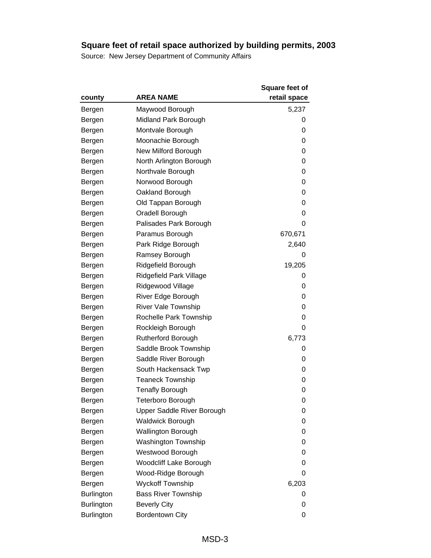|                   |                               | <b>Square feet of</b> |
|-------------------|-------------------------------|-----------------------|
| county            | <b>AREA NAME</b>              | retail space          |
| Bergen            | Maywood Borough               | 5,237                 |
| Bergen            | Midland Park Borough          | 0                     |
| Bergen            | Montvale Borough              | 0                     |
| Bergen            | Moonachie Borough             | 0                     |
| Bergen            | New Milford Borough           | 0                     |
| Bergen            | North Arlington Borough       | 0                     |
| Bergen            | Northvale Borough             | 0                     |
| Bergen            | Norwood Borough               | 0                     |
| Bergen            | Oakland Borough               | 0                     |
| Bergen            | Old Tappan Borough            | 0                     |
| Bergen            | Oradell Borough               | 0                     |
| Bergen            | Palisades Park Borough        | 0                     |
| Bergen            | Paramus Borough               | 670,671               |
| Bergen            | Park Ridge Borough            | 2,640                 |
| Bergen            | Ramsey Borough                | 0                     |
| Bergen            | Ridgefield Borough            | 19,205                |
| Bergen            | Ridgefield Park Village       | 0                     |
| Bergen            | Ridgewood Village             | 0                     |
| Bergen            | River Edge Borough            | 0                     |
| Bergen            | <b>River Vale Township</b>    | 0                     |
| Bergen            | Rochelle Park Township        | 0                     |
| Bergen            | Rockleigh Borough             | 0                     |
| Bergen            | <b>Rutherford Borough</b>     | 6,773                 |
| Bergen            | Saddle Brook Township         | 0                     |
| Bergen            | Saddle River Borough          | 0                     |
| Bergen            | South Hackensack Twp          | 0                     |
| Bergen            | <b>Teaneck Township</b>       | 0                     |
| Bergen            | <b>Tenafly Borough</b>        | 0                     |
| Bergen            | Teterboro Borough             | 0                     |
| Bergen            | Upper Saddle River Borough    | 0                     |
| Bergen            | <b>Waldwick Borough</b>       | 0                     |
| Bergen            | <b>Wallington Borough</b>     | 0                     |
| Bergen            | <b>Washington Township</b>    | 0                     |
| Bergen            | Westwood Borough              | 0                     |
| Bergen            | <b>Woodcliff Lake Borough</b> | 0                     |
| Bergen            | Wood-Ridge Borough            | 0                     |
| Bergen            | <b>Wyckoff Township</b>       | 6,203                 |
| <b>Burlington</b> | <b>Bass River Township</b>    | 0                     |
| <b>Burlington</b> | <b>Beverly City</b>           | 0                     |
| <b>Burlington</b> | Bordentown City               | 0                     |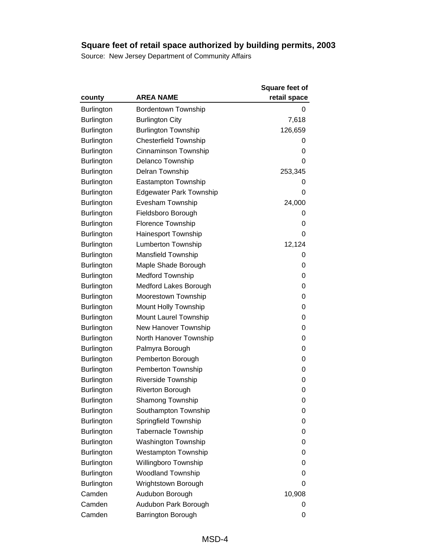|                   |                                | Square feet of |
|-------------------|--------------------------------|----------------|
| county            | <b>AREA NAME</b>               | retail space   |
| <b>Burlington</b> | <b>Bordentown Township</b>     | 0              |
| <b>Burlington</b> | <b>Burlington City</b>         | 7,618          |
| <b>Burlington</b> | <b>Burlington Township</b>     | 126,659        |
| <b>Burlington</b> | <b>Chesterfield Township</b>   | 0              |
| <b>Burlington</b> | Cinnaminson Township           | 0              |
| <b>Burlington</b> | <b>Delanco Township</b>        | 0              |
| <b>Burlington</b> | Delran Township                | 253,345        |
| <b>Burlington</b> | Eastampton Township            | 0              |
| <b>Burlington</b> | <b>Edgewater Park Township</b> | 0              |
| <b>Burlington</b> | Evesham Township               | 24,000         |
| <b>Burlington</b> | Fieldsboro Borough             | 0              |
| <b>Burlington</b> | Florence Township              | 0              |
| <b>Burlington</b> | <b>Hainesport Township</b>     | 0              |
| <b>Burlington</b> | <b>Lumberton Township</b>      | 12,124         |
| <b>Burlington</b> | <b>Mansfield Township</b>      | 0              |
| <b>Burlington</b> | Maple Shade Borough            | 0              |
| <b>Burlington</b> | <b>Medford Township</b>        | 0              |
| <b>Burlington</b> | Medford Lakes Borough          | 0              |
| Burlington        | Moorestown Township            | 0              |
| <b>Burlington</b> | Mount Holly Township           | 0              |
| <b>Burlington</b> | Mount Laurel Township          | 0              |
| <b>Burlington</b> | New Hanover Township           | 0              |
| <b>Burlington</b> | North Hanover Township         | 0              |
| Burlington        | Palmyra Borough                | 0              |
| <b>Burlington</b> | Pemberton Borough              | 0              |
| <b>Burlington</b> | Pemberton Township             | 0              |
| <b>Burlington</b> | Riverside Township             | 0              |
| Burlington        | <b>Riverton Borough</b>        | 0              |
| Burlington        | Shamong Township               | 0              |
| <b>Burlington</b> | Southampton Township           | 0              |
| <b>Burlington</b> | Springfield Township           | 0              |
| <b>Burlington</b> | <b>Tabernacle Township</b>     | 0              |
| <b>Burlington</b> | <b>Washington Township</b>     | 0              |
| <b>Burlington</b> | <b>Westampton Township</b>     | 0              |
| <b>Burlington</b> | Willingboro Township           | 0              |
| <b>Burlington</b> | <b>Woodland Township</b>       | 0              |
| <b>Burlington</b> | Wrightstown Borough            | 0              |
| Camden            | Audubon Borough                | 10,908         |
| Camden            | Audubon Park Borough           | 0              |
| Camden            | Barrington Borough             | 0              |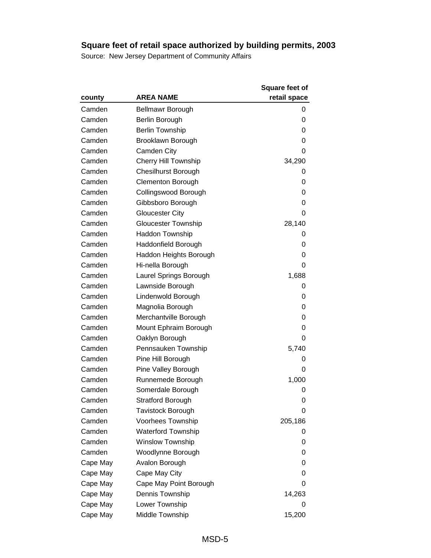|          |                             | <b>Square feet of</b> |
|----------|-----------------------------|-----------------------|
| county   | <b>AREA NAME</b>            | retail space          |
| Camden   | Bellmawr Borough            | 0                     |
| Camden   | Berlin Borough              | 0                     |
| Camden   | <b>Berlin Township</b>      | 0                     |
| Camden   | Brooklawn Borough           | 0                     |
| Camden   | Camden City                 | 0                     |
| Camden   | <b>Cherry Hill Township</b> | 34,290                |
| Camden   | Chesilhurst Borough         | 0                     |
| Camden   | <b>Clementon Borough</b>    | 0                     |
| Camden   | Collingswood Borough        | 0                     |
| Camden   | Gibbsboro Borough           | 0                     |
| Camden   | <b>Gloucester City</b>      | 0                     |
| Camden   | <b>Gloucester Township</b>  | 28,140                |
| Camden   | Haddon Township             | O                     |
| Camden   | Haddonfield Borough         | 0                     |
| Camden   | Haddon Heights Borough      | 0                     |
| Camden   | Hi-nella Borough            | 0                     |
| Camden   | Laurel Springs Borough      | 1,688                 |
| Camden   | Lawnside Borough            | 0                     |
| Camden   | Lindenwold Borough          | 0                     |
| Camden   | Magnolia Borough            | 0                     |
| Camden   | Merchantville Borough       | 0                     |
| Camden   | Mount Ephraim Borough       | 0                     |
| Camden   | Oaklyn Borough              | 0                     |
| Camden   | Pennsauken Township         | 5,740                 |
| Camden   | Pine Hill Borough           | O                     |
| Camden   | Pine Valley Borough         | 0                     |
| Camden   | Runnemede Borough           | 1,000                 |
| Camden   | Somerdale Borough           | 0                     |
| Camden   | <b>Stratford Borough</b>    | 0                     |
| Camden   | <b>Tavistock Borough</b>    | 0                     |
| Camden   | Voorhees Township           | 205,186               |
| Camden   | <b>Waterford Township</b>   | O                     |
| Camden   | <b>Winslow Township</b>     | 0                     |
| Camden   | Woodlynne Borough           | 0                     |
| Cape May | Avalon Borough              | 0                     |
| Cape May | Cape May City               | 0                     |
| Cape May | Cape May Point Borough      | 0                     |
| Cape May | Dennis Township             | 14,263                |
| Cape May | Lower Township              | 0                     |
| Cape May | Middle Township             | 15,200                |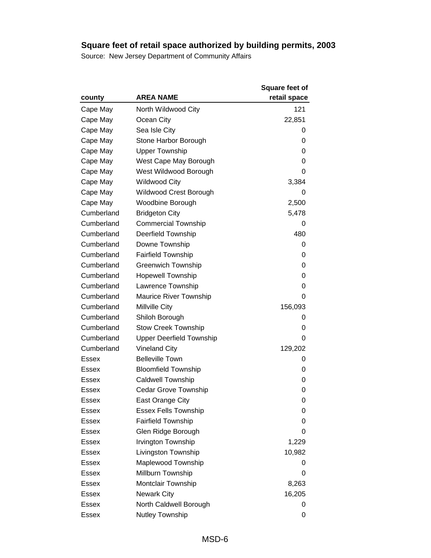|              |                                 | <b>Square feet of</b> |
|--------------|---------------------------------|-----------------------|
| county       | <b>AREA NAME</b>                | retail space          |
| Cape May     | North Wildwood City             | 121                   |
| Cape May     | Ocean City                      | 22,851                |
| Cape May     | Sea Isle City                   | 0                     |
| Cape May     | Stone Harbor Borough            | 0                     |
| Cape May     | <b>Upper Township</b>           | 0                     |
| Cape May     | West Cape May Borough           | 0                     |
| Cape May     | West Wildwood Borough           | 0                     |
| Cape May     | <b>Wildwood City</b>            | 3,384                 |
| Cape May     | Wildwood Crest Borough          | 0                     |
| Cape May     | Woodbine Borough                | 2,500                 |
| Cumberland   | <b>Bridgeton City</b>           | 5,478                 |
| Cumberland   | <b>Commercial Township</b>      | 0                     |
| Cumberland   | <b>Deerfield Township</b>       | 480                   |
| Cumberland   | Downe Township                  | 0                     |
| Cumberland   | <b>Fairfield Township</b>       | 0                     |
| Cumberland   | <b>Greenwich Township</b>       | 0                     |
| Cumberland   | <b>Hopewell Township</b>        | 0                     |
| Cumberland   | Lawrence Township               | 0                     |
| Cumberland   | <b>Maurice River Township</b>   | 0                     |
| Cumberland   | Millville City                  | 156,093               |
| Cumberland   | Shiloh Borough                  | 0                     |
| Cumberland   | <b>Stow Creek Township</b>      | 0                     |
| Cumberland   | <b>Upper Deerfield Township</b> | 0                     |
| Cumberland   | <b>Vineland City</b>            | 129,202               |
| <b>Essex</b> | <b>Belleville Town</b>          | O                     |
| Essex        | <b>Bloomfield Township</b>      | 0                     |
| <b>Essex</b> | <b>Caldwell Township</b>        | 0                     |
| Essex        | <b>Cedar Grove Township</b>     | 0                     |
| <b>Essex</b> | East Orange City                | 0                     |
| Essex        | <b>Essex Fells Township</b>     | 0                     |
| <b>Essex</b> | <b>Fairfield Township</b>       | 0                     |
| Essex        | Glen Ridge Borough              | 0                     |
| Essex        | Irvington Township              | 1,229                 |
| Essex        | Livingston Township             | 10,982                |
| Essex        | Maplewood Township              | 0                     |
| Essex        | Millburn Township               | 0                     |
| Essex        | Montclair Township              | 8,263                 |
| Essex        | <b>Newark City</b>              | 16,205                |
| Essex        | North Caldwell Borough          | 0                     |
| Essex        | Nutley Township                 | 0                     |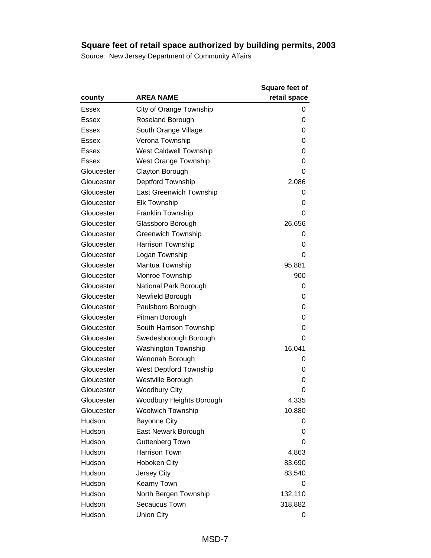|              |                                | <b>Square feet of</b> |
|--------------|--------------------------------|-----------------------|
| county       | <b>AREA NAME</b>               | retail space          |
| <b>Essex</b> | City of Orange Township        | 0                     |
| <b>Essex</b> | Roseland Borough               | 0                     |
| Essex        | South Orange Village           | 0                     |
| Essex        | Verona Township                | 0                     |
| <b>Essex</b> | <b>West Caldwell Township</b>  | 0                     |
| Essex        | <b>West Orange Township</b>    | 0                     |
| Gloucester   | Clayton Borough                | 0                     |
| Gloucester   | Deptford Township              | 2,086                 |
| Gloucester   | <b>East Greenwich Township</b> | 0                     |
| Gloucester   | <b>Elk Township</b>            | 0                     |
| Gloucester   | Franklin Township              | 0                     |
| Gloucester   | Glassboro Borough              | 26,656                |
| Gloucester   | <b>Greenwich Township</b>      | 0                     |
| Gloucester   | Harrison Township              | 0                     |
| Gloucester   | Logan Township                 | 0                     |
| Gloucester   | Mantua Township                | 95,881                |
| Gloucester   | Monroe Township                | 900                   |
| Gloucester   | National Park Borough          | 0                     |
| Gloucester   | Newfield Borough               | 0                     |
| Gloucester   | Paulsboro Borough              | 0                     |
| Gloucester   | Pitman Borough                 | 0                     |
| Gloucester   | South Harrison Township        | 0                     |
| Gloucester   | Swedesborough Borough          | 0                     |
| Gloucester   | <b>Washington Township</b>     | 16,041                |
| Gloucester   | Wenonah Borough                | 0                     |
| Gloucester   | <b>West Deptford Township</b>  | 0                     |
| Gloucester   | Westville Borough              | 0                     |
| Gloucester   | <b>Woodbury City</b>           | 0                     |
| Gloucester   | Woodbury Heights Borough       | 4,335                 |
| Gloucester   | Woolwich Township              | 10,880                |
| Hudson       | <b>Bayonne City</b>            | 0                     |
| Hudson       | East Newark Borough            | 0                     |
| Hudson       | <b>Guttenberg Town</b>         | 0                     |
| Hudson       | Harrison Town                  | 4,863                 |
| Hudson       | Hoboken City                   | 83,690                |
| Hudson       | Jersey City                    | 83,540                |
| Hudson       | Kearny Town                    | 0                     |
| Hudson       | North Bergen Township          | 132,110               |
| Hudson       | Secaucus Town                  | 318,882               |
| Hudson       | <b>Union City</b>              | 0                     |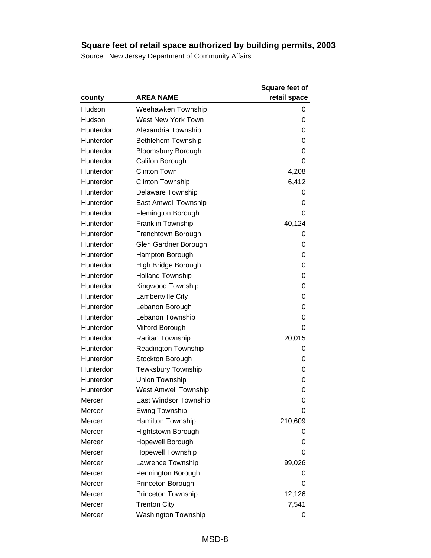|           |                             | <b>Square feet of</b> |
|-----------|-----------------------------|-----------------------|
| county    | <b>AREA NAME</b>            | retail space          |
| Hudson    | Weehawken Township          | 0                     |
| Hudson    | <b>West New York Town</b>   | 0                     |
| Hunterdon | Alexandria Township         | 0                     |
| Hunterdon | Bethlehem Township          | 0                     |
| Hunterdon | <b>Bloomsbury Borough</b>   | 0                     |
| Hunterdon | Califon Borough             | 0                     |
| Hunterdon | <b>Clinton Town</b>         | 4,208                 |
| Hunterdon | <b>Clinton Township</b>     | 6,412                 |
| Hunterdon | Delaware Township           | 0                     |
| Hunterdon | East Amwell Township        | 0                     |
| Hunterdon | Flemington Borough          | 0                     |
| Hunterdon | Franklin Township           | 40,124                |
| Hunterdon | Frenchtown Borough          | 0                     |
| Hunterdon | Glen Gardner Borough        | 0                     |
| Hunterdon | Hampton Borough             | 0                     |
| Hunterdon | High Bridge Borough         | 0                     |
| Hunterdon | <b>Holland Township</b>     | 0                     |
| Hunterdon | Kingwood Township           | 0                     |
| Hunterdon | Lambertville City           | 0                     |
| Hunterdon | Lebanon Borough             | 0                     |
| Hunterdon | Lebanon Township            | 0                     |
| Hunterdon | Milford Borough             | 0                     |
| Hunterdon | Raritan Township            | 20,015                |
| Hunterdon | <b>Readington Township</b>  | 0                     |
| Hunterdon | Stockton Borough            | 0                     |
| Hunterdon | <b>Tewksbury Township</b>   | 0                     |
| Hunterdon | Union Township              | 0                     |
| Hunterdon | <b>West Amwell Township</b> | 0                     |
| Mercer    | East Windsor Township       | 0                     |
| Mercer    | <b>Ewing Township</b>       | 0                     |
| Mercer    | Hamilton Township           | 210,609               |
| Mercer    | <b>Hightstown Borough</b>   | 0                     |
| Mercer    | Hopewell Borough            | 0                     |
| Mercer    | <b>Hopewell Township</b>    | 0                     |
| Mercer    | Lawrence Township           | 99,026                |
| Mercer    | Pennington Borough          | 0                     |
| Mercer    | Princeton Borough           | 0                     |
| Mercer    | Princeton Township          | 12,126                |
| Mercer    | <b>Trenton City</b>         | 7,541                 |
| Mercer    | Washington Township         | 0                     |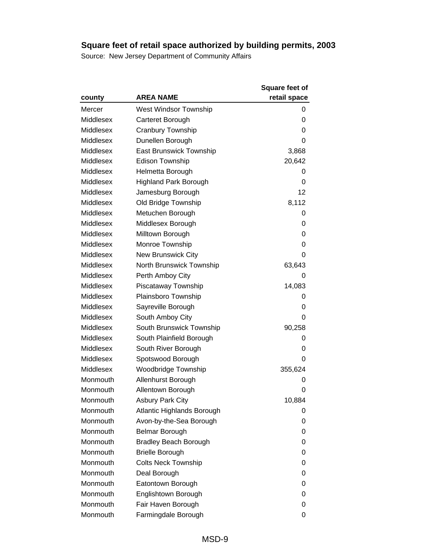|                  |                                | <b>Square feet of</b> |
|------------------|--------------------------------|-----------------------|
| county           | <b>AREA NAME</b>               | retail space          |
| Mercer           | West Windsor Township          | 0                     |
| Middlesex        | Carteret Borough               | 0                     |
| Middlesex        | Cranbury Township              | 0                     |
| Middlesex        | Dunellen Borough               | 0                     |
| Middlesex        | <b>East Brunswick Township</b> | 3,868                 |
| <b>Middlesex</b> | <b>Edison Township</b>         | 20,642                |
| Middlesex        | Helmetta Borough               | 0                     |
| Middlesex        | <b>Highland Park Borough</b>   | 0                     |
| Middlesex        | Jamesburg Borough              | 12                    |
| Middlesex        | Old Bridge Township            | 8,112                 |
| Middlesex        | Metuchen Borough               | 0                     |
| Middlesex        | Middlesex Borough              | 0                     |
| Middlesex        | Milltown Borough               | 0                     |
| Middlesex        | Monroe Township                | 0                     |
| Middlesex        | <b>New Brunswick City</b>      | 0                     |
| Middlesex        | North Brunswick Township       | 63,643                |
| <b>Middlesex</b> | Perth Amboy City               | 0                     |
| Middlesex        | Piscataway Township            | 14,083                |
| Middlesex        | Plainsboro Township            | 0                     |
| Middlesex        | Sayreville Borough             | 0                     |
| Middlesex        | South Amboy City               | 0                     |
| Middlesex        | South Brunswick Township       | 90,258                |
| Middlesex        | South Plainfield Borough       | 0                     |
| Middlesex        | South River Borough            | 0                     |
| Middlesex        | Spotswood Borough              | 0                     |
| Middlesex        | <b>Woodbridge Township</b>     | 355,624               |
| Monmouth         | Allenhurst Borough             | 0                     |
| Monmouth         | Allentown Borough              | 0                     |
| Monmouth         | <b>Asbury Park City</b>        | 10,884                |
| Monmouth         | Atlantic Highlands Borough     | 0                     |
| Monmouth         | Avon-by-the-Sea Borough        | 0                     |
| Monmouth         | <b>Belmar Borough</b>          | 0                     |
| Monmouth         | <b>Bradley Beach Borough</b>   | 0                     |
| Monmouth         | <b>Brielle Borough</b>         | 0                     |
| Monmouth         | <b>Colts Neck Township</b>     | 0                     |
| Monmouth         | Deal Borough                   | 0                     |
| Monmouth         | Eatontown Borough              | 0                     |
| Monmouth         | Englishtown Borough            | 0                     |
| Monmouth         | Fair Haven Borough             | 0                     |
| Monmouth         | Farmingdale Borough            | 0                     |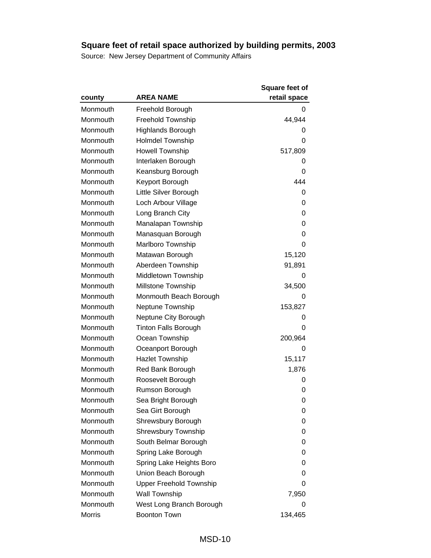|               |                                | <b>Square feet of</b> |
|---------------|--------------------------------|-----------------------|
| county        | <b>AREA NAME</b>               | retail space          |
| Monmouth      | Freehold Borough               | 0                     |
| Monmouth      | <b>Freehold Township</b>       | 44,944                |
| Monmouth      | Highlands Borough              | 0                     |
| Monmouth      | <b>Holmdel Township</b>        | 0                     |
| Monmouth      | <b>Howell Township</b>         | 517,809               |
| Monmouth      | Interlaken Borough             | 0                     |
| Monmouth      | Keansburg Borough              | 0                     |
| Monmouth      | Keyport Borough                | 444                   |
| Monmouth      | Little Silver Borough          | 0                     |
| Monmouth      | Loch Arbour Village            | 0                     |
| Monmouth      | Long Branch City               | 0                     |
| Monmouth      | Manalapan Township             | 0                     |
| Monmouth      | Manasquan Borough              | 0                     |
| Monmouth      | Marlboro Township              | 0                     |
| Monmouth      | Matawan Borough                | 15,120                |
| Monmouth      | Aberdeen Township              | 91,891                |
| Monmouth      | Middletown Township            | O                     |
| Monmouth      | Millstone Township             | 34,500                |
| Monmouth      | Monmouth Beach Borough         | 0                     |
| Monmouth      | Neptune Township               | 153,827               |
| Monmouth      | Neptune City Borough           | O                     |
| Monmouth      | <b>Tinton Falls Borough</b>    | 0                     |
| Monmouth      | Ocean Township                 | 200,964               |
| Monmouth      | Oceanport Borough              | 0                     |
| Monmouth      | <b>Hazlet Township</b>         | 15,117                |
| Monmouth      | Red Bank Borough               | 1,876                 |
| Monmouth      | Roosevelt Borough              | 0                     |
| Monmouth      | Rumson Borough                 | 0                     |
| Monmouth      | Sea Bright Borough             | 0                     |
| Monmouth      | Sea Girt Borough               | 0                     |
| Monmouth      | Shrewsbury Borough             | 0                     |
| Monmouth      | <b>Shrewsbury Township</b>     | 0                     |
| Monmouth      | South Belmar Borough           | 0                     |
| Monmouth      | Spring Lake Borough            | 0                     |
| Monmouth      | Spring Lake Heights Boro       | 0                     |
| Monmouth      | Union Beach Borough            | 0                     |
| Monmouth      | <b>Upper Freehold Township</b> | 0                     |
| Monmouth      | Wall Township                  | 7,950                 |
| Monmouth      | West Long Branch Borough       | 0                     |
| <b>Morris</b> | <b>Boonton Town</b>            | 134,465               |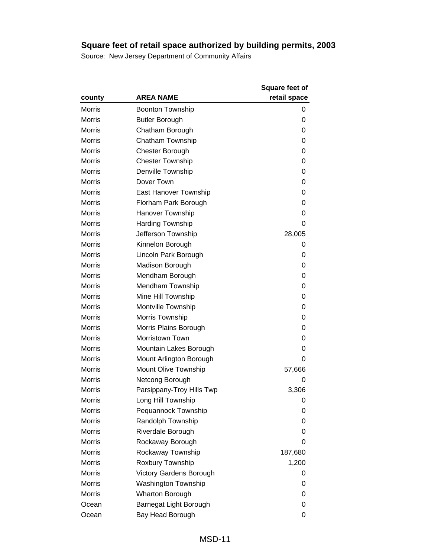|               |                            | <b>Square feet of</b> |
|---------------|----------------------------|-----------------------|
| county        | <b>AREA NAME</b>           | retail space          |
| <b>Morris</b> | <b>Boonton Township</b>    | 0                     |
| <b>Morris</b> | <b>Butler Borough</b>      | 0                     |
| <b>Morris</b> | Chatham Borough            | 0                     |
| <b>Morris</b> | Chatham Township           | 0                     |
| <b>Morris</b> | <b>Chester Borough</b>     | 0                     |
| <b>Morris</b> | <b>Chester Township</b>    | 0                     |
| <b>Morris</b> | Denville Township          | 0                     |
| <b>Morris</b> | Dover Town                 | 0                     |
| <b>Morris</b> | East Hanover Township      | 0                     |
| <b>Morris</b> | Florham Park Borough       | 0                     |
| <b>Morris</b> | Hanover Township           | 0                     |
| Morris        | <b>Harding Township</b>    | 0                     |
| <b>Morris</b> | Jefferson Township         | 28,005                |
| <b>Morris</b> | Kinnelon Borough           | 0                     |
| <b>Morris</b> | Lincoln Park Borough       | 0                     |
| <b>Morris</b> | Madison Borough            | 0                     |
| <b>Morris</b> | Mendham Borough            | 0                     |
| <b>Morris</b> | Mendham Township           | 0                     |
| <b>Morris</b> | Mine Hill Township         | 0                     |
| <b>Morris</b> | Montville Township         | 0                     |
| <b>Morris</b> | Morris Township            | 0                     |
| <b>Morris</b> | Morris Plains Borough      | 0                     |
| <b>Morris</b> | Morristown Town            | 0                     |
| <b>Morris</b> | Mountain Lakes Borough     | 0                     |
| Morris        | Mount Arlington Borough    | 0                     |
| <b>Morris</b> | Mount Olive Township       | 57,666                |
| <b>Morris</b> | Netcong Borough            | 0                     |
| <b>Morris</b> | Parsippany-Troy Hills Twp  | 3,306                 |
| Morris        | Long Hill Township         | 0                     |
| Morris        | Pequannock Township        | 0                     |
| <b>Morris</b> | Randolph Township          | 0                     |
| <b>Morris</b> | Riverdale Borough          | 0                     |
| <b>Morris</b> | Rockaway Borough           | 0                     |
| <b>Morris</b> | Rockaway Township          | 187,680               |
| <b>Morris</b> | Roxbury Township           | 1,200                 |
| Morris        | Victory Gardens Borough    | 0                     |
| <b>Morris</b> | <b>Washington Township</b> | 0                     |
| <b>Morris</b> | <b>Wharton Borough</b>     | 0                     |
| Ocean         | Barnegat Light Borough     | 0                     |
| Ocean         | Bay Head Borough           | 0                     |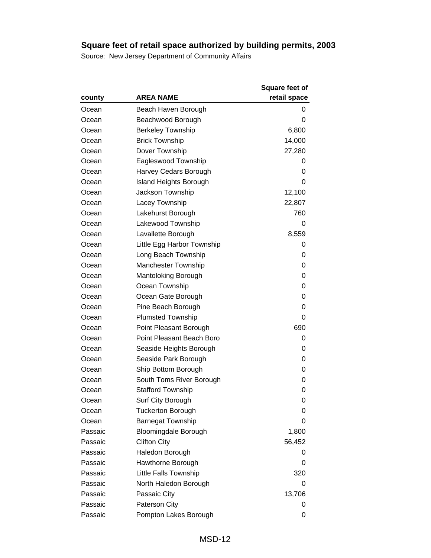|         |                               | <b>Square feet of</b> |
|---------|-------------------------------|-----------------------|
| county  | <b>AREA NAME</b>              | retail space          |
| Ocean   | Beach Haven Borough           | 0                     |
| Ocean   | Beachwood Borough             | 0                     |
| Ocean   | <b>Berkeley Township</b>      | 6,800                 |
| Ocean   | <b>Brick Township</b>         | 14,000                |
| Ocean   | Dover Township                | 27,280                |
| Ocean   | Eagleswood Township           | 0                     |
| Ocean   | Harvey Cedars Borough         | 0                     |
| Ocean   | <b>Island Heights Borough</b> | 0                     |
| Ocean   | Jackson Township              | 12,100                |
| Ocean   | Lacey Township                | 22,807                |
| Ocean   | Lakehurst Borough             | 760                   |
| Ocean   | Lakewood Township             | 0                     |
| Ocean   | Lavallette Borough            | 8,559                 |
| Ocean   | Little Egg Harbor Township    | 0                     |
| Ocean   | Long Beach Township           | 0                     |
| Ocean   | <b>Manchester Township</b>    | 0                     |
| Ocean   | <b>Mantoloking Borough</b>    | 0                     |
| Ocean   | Ocean Township                | 0                     |
| Ocean   | Ocean Gate Borough            | 0                     |
| Ocean   | Pine Beach Borough            | 0                     |
| Ocean   | <b>Plumsted Township</b>      | 0                     |
| Ocean   | Point Pleasant Borough        | 690                   |
| Ocean   | Point Pleasant Beach Boro     | 0                     |
| Ocean   | Seaside Heights Borough       | 0                     |
| Ocean   | Seaside Park Borough          | 0                     |
| Ocean   | Ship Bottom Borough           | 0                     |
| Ocean   | South Toms River Borough      | 0                     |
| Ocean   | <b>Stafford Township</b>      | 0                     |
| Ocean   | Surf City Borough             | 0                     |
| Ocean   | <b>Tuckerton Borough</b>      | 0                     |
| Ocean   | <b>Barnegat Township</b>      | 0                     |
| Passaic | Bloomingdale Borough          | 1,800                 |
| Passaic | <b>Clifton City</b>           | 56,452                |
| Passaic | Haledon Borough               | 0                     |
| Passaic | Hawthorne Borough             | 0                     |
| Passaic | Little Falls Township         | 320                   |
| Passaic | North Haledon Borough         | 0                     |
| Passaic | Passaic City                  | 13,706                |
| Passaic | <b>Paterson City</b>          | 0                     |
| Passaic | Pompton Lakes Borough         | 0                     |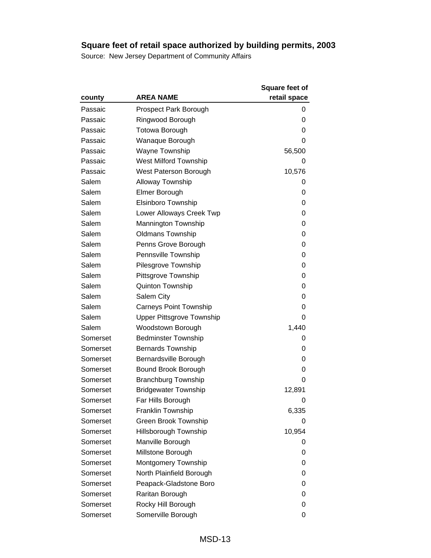|          |                                  | <b>Square feet of</b> |
|----------|----------------------------------|-----------------------|
| county   | <b>AREA NAME</b>                 | retail space          |
| Passaic  | <b>Prospect Park Borough</b>     | 0                     |
| Passaic  | Ringwood Borough                 | 0                     |
| Passaic  | <b>Totowa Borough</b>            | 0                     |
| Passaic  | Wanaque Borough                  | 0                     |
| Passaic  | <b>Wayne Township</b>            | 56,500                |
| Passaic  | <b>West Milford Township</b>     | 0                     |
| Passaic  | West Paterson Borough            | 10,576                |
| Salem    | <b>Alloway Township</b>          | 0                     |
| Salem    | Elmer Borough                    | 0                     |
| Salem    | Elsinboro Township               | 0                     |
| Salem    | Lower Alloways Creek Twp         | 0                     |
| Salem    | <b>Mannington Township</b>       | 0                     |
| Salem    | <b>Oldmans Township</b>          | 0                     |
| Salem    | Penns Grove Borough              | 0                     |
| Salem    | Pennsville Township              | 0                     |
| Salem    | Pilesgrove Township              | 0                     |
| Salem    | Pittsgrove Township              | 0                     |
| Salem    | <b>Quinton Township</b>          | 0                     |
| Salem    | Salem City                       | 0                     |
| Salem    | <b>Carneys Point Township</b>    | 0                     |
| Salem    | <b>Upper Pittsgrove Township</b> | 0                     |
| Salem    | Woodstown Borough                | 1,440                 |
| Somerset | <b>Bedminster Township</b>       | 0                     |
| Somerset | <b>Bernards Township</b>         | 0                     |
| Somerset | Bernardsville Borough            | 0                     |
| Somerset | Bound Brook Borough              | 0                     |
| Somerset | <b>Branchburg Township</b>       | 0                     |
| Somerset | <b>Bridgewater Township</b>      | 12,891                |
| Somerset | Far Hills Borough                | 0                     |
| Somerset | <b>Franklin Township</b>         | 6,335                 |
| Somerset | Green Brook Township             | 0                     |
| Somerset | Hillsborough Township            | 10,954                |
| Somerset | Manville Borough                 | 0                     |
| Somerset | Millstone Borough                | 0                     |
| Somerset | Montgomery Township              | 0                     |
| Somerset | North Plainfield Borough         | 0                     |
| Somerset | Peapack-Gladstone Boro           | 0                     |
| Somerset | Raritan Borough                  | 0                     |
| Somerset | Rocky Hill Borough               | 0                     |
| Somerset | Somerville Borough               | 0                     |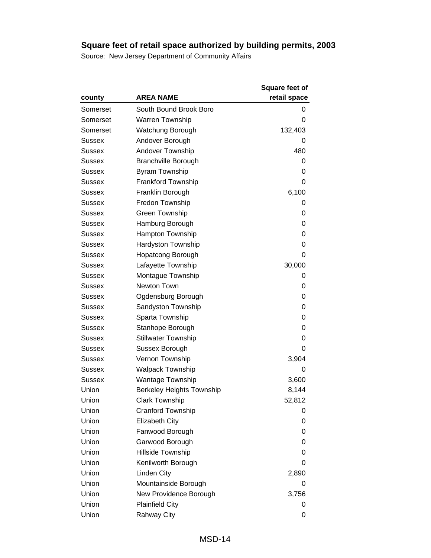|               |                                  | <b>Square feet of</b> |
|---------------|----------------------------------|-----------------------|
| county        | <b>AREA NAME</b>                 | retail space          |
| Somerset      | South Bound Brook Boro           | 0                     |
| Somerset      | <b>Warren Township</b>           | 0                     |
| Somerset      | Watchung Borough                 | 132,403               |
| Sussex        | Andover Borough                  |                       |
| Sussex        | Andover Township                 | 480                   |
| Sussex        | <b>Branchville Borough</b>       | 0                     |
| Sussex        | <b>Byram Township</b>            | 0                     |
| Sussex        | <b>Frankford Township</b>        | 0                     |
| Sussex        | Franklin Borough                 | 6,100                 |
| Sussex        | Fredon Township                  | 0                     |
| Sussex        | Green Township                   | 0                     |
| Sussex        | Hamburg Borough                  | 0                     |
| Sussex        | Hampton Township                 | 0                     |
| Sussex        | <b>Hardyston Township</b>        | 0                     |
| Sussex        | Hopatcong Borough                | 0                     |
| Sussex        | Lafayette Township               | 30,000                |
| Sussex        | Montague Township                | 0                     |
| Sussex        | Newton Town                      | 0                     |
| Sussex        | Ogdensburg Borough               | 0                     |
| Sussex        | Sandyston Township               | 0                     |
| Sussex        | Sparta Township                  | 0                     |
| Sussex        | Stanhope Borough                 | 0                     |
| Sussex        | <b>Stillwater Township</b>       | 0                     |
| Sussex        | Sussex Borough                   | 0                     |
| Sussex        | Vernon Township                  | 3,904                 |
| Sussex        | <b>Walpack Township</b>          | 0                     |
| <b>Sussex</b> | <b>Wantage Township</b>          | 3,600                 |
| Union         | <b>Berkeley Heights Township</b> | 8,144                 |
| Union         | <b>Clark Township</b>            | 52,812                |
| Union         | Cranford Township                | 0                     |
| Union         | Elizabeth City                   | 0                     |
| Union         | Fanwood Borough                  | 0                     |
| Union         | Garwood Borough                  | 0                     |
| Union         | Hillside Township                | 0                     |
| Union         | Kenilworth Borough               | 0                     |
| Union         | <b>Linden City</b>               | 2,890                 |
| Union         | Mountainside Borough             | 0                     |
| Union         | New Providence Borough           | 3,756                 |
| Union         | <b>Plainfield City</b>           | 0                     |
| Union         | <b>Rahway City</b>               | 0                     |